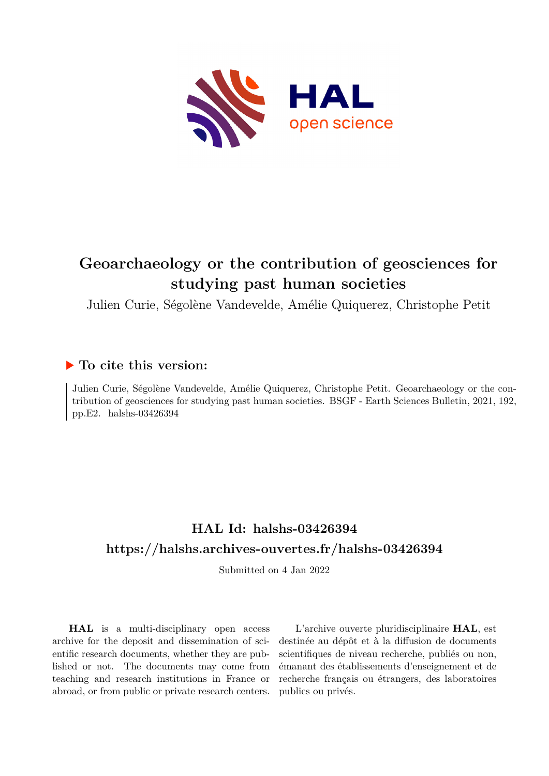

# **Geoarchaeology or the contribution of geosciences for studying past human societies**

Julien Curie, Ségolène Vandevelde, Amélie Quiquerez, Christophe Petit

### **To cite this version:**

Julien Curie, Ségolène Vandevelde, Amélie Quiquerez, Christophe Petit. Geoarchaeology or the contribution of geosciences for studying past human societies. BSGF - Earth Sciences Bulletin, 2021, 192, pp.E2. halshs-03426394

# **HAL Id: halshs-03426394 <https://halshs.archives-ouvertes.fr/halshs-03426394>**

Submitted on 4 Jan 2022

**HAL** is a multi-disciplinary open access archive for the deposit and dissemination of scientific research documents, whether they are published or not. The documents may come from teaching and research institutions in France or abroad, or from public or private research centers.

L'archive ouverte pluridisciplinaire **HAL**, est destinée au dépôt et à la diffusion de documents scientifiques de niveau recherche, publiés ou non, émanant des établissements d'enseignement et de recherche français ou étrangers, des laboratoires publics ou privés.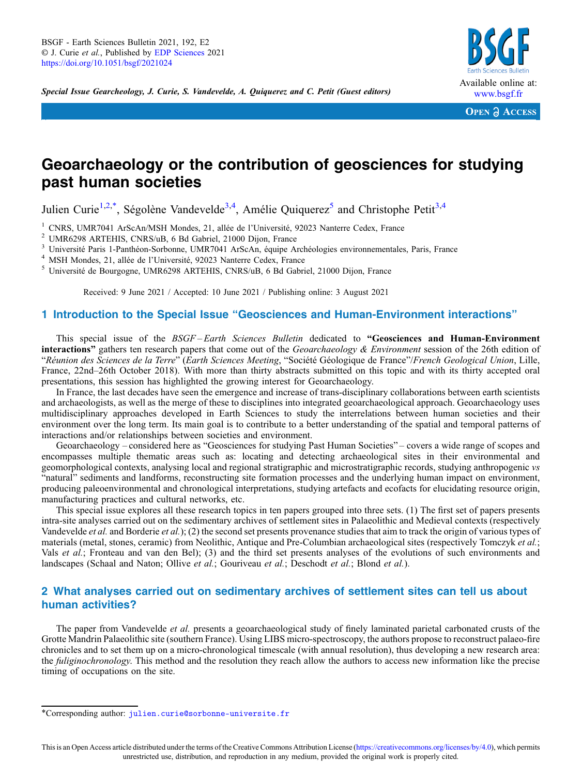Special Issue Gearcheology, J. Curie, S. Vandevelde, A. Quiquerez and C. Petit (Guest editors)



**OPEN A ACCESS** 

## Geoarchaeology or the contribution of geosciences for studying past human societies

Julien Curie<sup>1,2,\*</sup>, Ségolène Vandevelde<sup>3,4</sup>, Amélie Quiquerez<sup>5</sup> and Christophe Petit<sup>3,4</sup>

<sup>1</sup> CNRS, UMR7041 ArScAn/MSH Mondes, 21, allée de l'Université, 92023 Nanterre Cedex, France<br>
<sup>2</sup> UMR6298 ARTEHIS, CNRS/uB, 6 Bd Gabriel, 21000 Dijon, France<br>
<sup>3</sup> Université Paris 1-Panthéon-Sorbonne, UMR7041 ArScAn, équi

Received: 9 June 2021 / Accepted: 10 June 2021 / Publishing online: 3 August 2021

### 1 Introduction to the Special Issue "Geosciences and Human-Environment interactions"

This special issue of the BSGF-Earth Sciences Bulletin dedicated to "Geosciences and Human-Environment **interactions**" gathers ten research papers that come out of the *Geoarchaeology & Environment* session of the 26th edition of "Réunion des Sciences de la Terre" (Earth Sciences Meeting, "Société Géologique de France"/French Geological Union, Lille, France, 22nd–26th October 2018). With more than thirty abstracts submitted on this topic and with its thirty accepted oral presentations, this session has highlighted the growing interest for Geoarchaeology.

In France, the last decades have seen the emergence and increase of trans-disciplinary collaborations between earth scientists and archaeologists, as well as the merge of these to disciplines into integrated geoarchaeological approach. Geoarchaeology uses multidisciplinary approaches developed in Earth Sciences to study the interrelations between human societies and their environment over the long term. Its main goal is to contribute to a better understanding of the spatial and temporal patterns of interactions and/or relationships between societies and environment.

Geoarchaeology – considered here as "Geosciences for studying Past Human Societies" – covers a wide range of scopes and encompasses multiple thematic areas such as: locating and detecting archaeological sites in their environmental and geomorphological contexts, analysing local and regional stratigraphic and microstratigraphic records, studying anthropogenic vs "natural" sediments and landforms, reconstructing site formation processes and the underlying human impact on environment, producing paleoenvironmental and chronological interpretations, studying artefacts and ecofacts for elucidating resource origin, manufacturing practices and cultural networks, etc.

This special issue explores all these research topics in ten papers grouped into three sets. (1) The first set of papers presents intra-site analyses carried out on the sedimentary archives of settlement sites in Palaeolithic and Medieval contexts (respectively Vandevelde et al. and Borderie et al.); (2) the second set presents provenance studies that aim to track the origin of various types of materials (metal, stones, ceramic) from Neolithic, Antique and Pre-Columbian archaeological sites (respectively Tomczyk et al.; Vals et al.; Fronteau and van den Bel); (3) and the third set presents analyses of the evolutions of such environments and landscapes (Schaal and Naton; Ollive *et al.*; Gouriveau *et al.*; Deschodt *et al.*; Blond *et al.*).

#### 2 What analyses carried out on sedimentary archives of settlement sites can tell us about human activities?

The paper from Vandevelde *et al.* presents a geoarchaeological study of finely laminated parietal carbonated crusts of the Grotte Mandrin Palaeolithic site (southern France). Using LIBS micro-spectroscopy, the authors propose to reconstruct palaeo-fire chronicles and to set them up on a micro-chronological timescale (with annual resolution), thus developing a new research area: the *fuliginochronology*. This method and the resolution they reach allow the authors to access new information like the precise timing of occupations on the site.

<sup>\*</sup>Corresponding author: [julien.curie@sorbonne-universite.fr](mailto:julien.curie@sorbonne-universite.fr)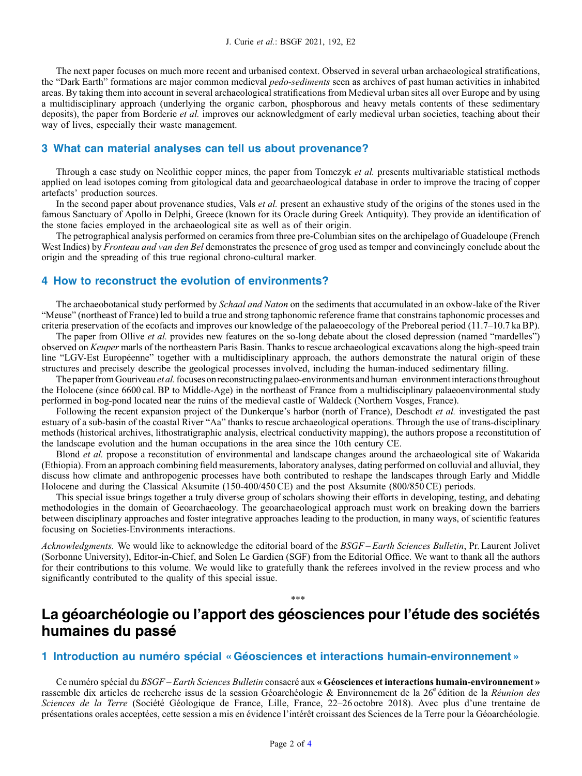The next paper focuses on much more recent and urbanised context. Observed in several urban archaeological stratifications, the "Dark Earth" formations are major common medieval pedo-sediments seen as archives of past human activities in inhabited areas. By taking them into account in several archaeological stratifications from Medieval urban sites all over Europe and by using a multidisciplinary approach (underlying the organic carbon, phosphorous and heavy metals contents of these sedimentary deposits), the paper from Borderie *et al.* improves our acknowledgment of early medieval urban societies, teaching about their way of lives, especially their waste management.

#### 3 What can material analyses can tell us about provenance?

Through a case study on Neolithic copper mines, the paper from Tomczyk *et al.* presents multivariable statistical methods applied on lead isotopes coming from gitological data and geoarchaeological database in order to improve the tracing of copper artefacts' production sources.

In the second paper about provenance studies, Vals *et al.* present an exhaustive study of the origins of the stones used in the famous Sanctuary of Apollo in Delphi, Greece (known for its Oracle during Greek Antiquity). They provide an identification of the stone facies employed in the archaeological site as well as of their origin.

The petrographical analysis performed on ceramics from three pre-Columbian sites on the archipelago of Guadeloupe (French West Indies) by Fronteau and van den Bel demonstrates the presence of grog used as temper and convincingly conclude about the origin and the spreading of this true regional chrono-cultural marker.

#### 4 How to reconstruct the evolution of environments?

The archaeobotanical study performed by *Schaal and Naton* on the sediments that accumulated in an oxbow-lake of the River "Meuse" (northeast of France) led to build a true and strong taphonomic reference frame that constrains taphonomic processes and criteria preservation of the ecofacts and improves our knowledge of the palaeoecology of the Preboreal period (11.7–10.7 ka BP).

The paper from Ollive et al. provides new features on the so-long debate about the closed depression (named "mardelles") observed on Keuper marls of the northeastern Paris Basin. Thanks to rescue archaeological excavations along the high-speed train line "LGV-Est Européenne" together with a multidisciplinary approach, the authors demonstrate the natural origin of these structures and precisely describe the geological processes involved, including the human-induced sedimentary filling.

The paper from Gouriveau et al. focuses on reconstructing palaeo-environments and human–environment interactions throughout the Holocene (since 6600 cal. BP to Middle-Age) in the northeast of France from a multidisciplinary palaeoenvironmental study performed in bog-pond located near the ruins of the medieval castle of Waldeck (Northern Vosges, France).

Following the recent expansion project of the Dunkerque's harbor (north of France), Deschodt *et al.* investigated the past estuary of a sub-basin of the coastal River "Aa" thanks to rescue archaeological operations. Through the use of trans-disciplinary methods (historical archives, lithostratigraphic analysis, electrical conductivity mapping), the authors propose a reconstitution of the landscape evolution and the human occupations in the area since the 10th century CE.

Blond et al. propose a reconstitution of environmental and landscape changes around the archaeological site of Wakarida (Ethiopia). From an approach combining field measurements, laboratory analyses, dating performed on colluvial and alluvial, they discuss how climate and anthropogenic processes have both contributed to reshape the landscapes through Early and Middle Holocene and during the Classical Aksumite (150-400/450 CE) and the post Aksumite (800/850 CE) periods.

This special issue brings together a truly diverse group of scholars showing their efforts in developing, testing, and debating methodologies in the domain of Geoarchaeology. The geoarchaeological approach must work on breaking down the barriers between disciplinary approaches and foster integrative approaches leading to the production, in many ways, of scientific features focusing on Societies-Environments interactions.

Acknowledgments. We would like to acknowledge the editorial board of the BSGF-Earth Sciences Bulletin, Pr. Laurent Jolivet (Sorbonne University), Editor-in-Chief, and Solen Le Gardien (SGF) from the Editorial Office. We want to thank all the authors for their contributions to this volume. We would like to gratefully thank the referees involved in the review process and who significantly contributed to the quality of this special issue.

### La géoarchéologie ou l'apport des géosciences pour l'étude des sociétés humaines du passé

\*\*\*

#### 1 Introduction au numéro spécial « Géosciences et interactions humain-environnement »

Ce numéro spécial du BSGF – Earth Sciences Bulletin consacré aux « Géosciences et interactions humain-environnement » rassemble dix articles de recherche issus de la session Géoarchéologie & Environnement de la 26<sup>e</sup> édition de la Réunion des Sciences de la Terre (Société Géologique de France, Lille, France, 22–26 octobre 2018). Avec plus d'une trentaine de présentations orales acceptées, cette session a mis en évidence l'intérêt croissant des Sciences de la Terre pour la Géoarchéologie.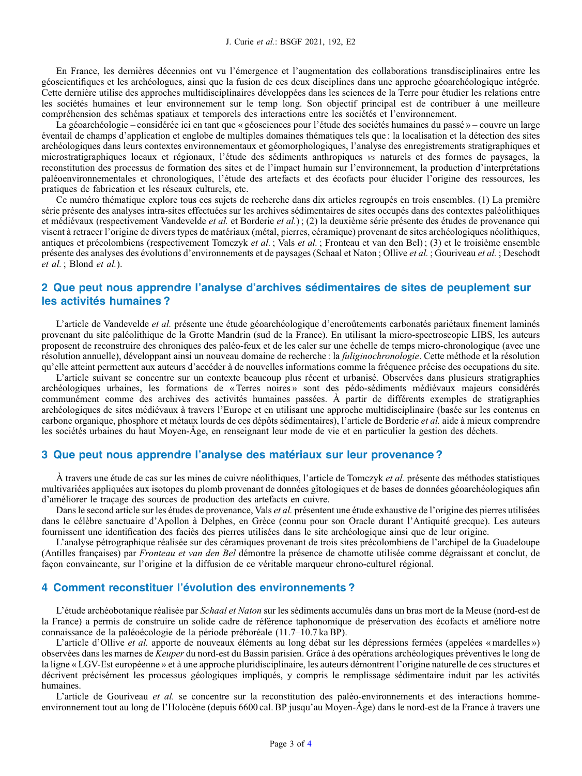En France, les dernières décennies ont vu l'émergence et l'augmentation des collaborations transdisciplinaires entre les géoscientifiques et les archéologues, ainsi que la fusion de ces deux disciplines dans une approche géoarchéologique intégrée. Cette dernière utilise des approches multidisciplinaires développées dans les sciences de la Terre pour étudier les relations entre les sociétés humaines et leur environnement sur le temp long. Son objectif principal est de contribuer à une meilleure compréhension des schémas spatiaux et temporels des interactions entre les sociétés et l'environnement.

La géoarchéologie – considérée ici en tant que « géosciences pour l'étude des sociétés humaines du passé » – couvre un large éventail de champs d'application et englobe de multiples domaines thématiques tels que : la localisation et la détection des sites archéologiques dans leurs contextes environnementaux et géomorphologiques, l'analyse des enregistrements stratigraphiques et microstratigraphiques locaux et régionaux, l'étude des sédiments anthropiques vs naturels et des formes de paysages, la reconstitution des processus de formation des sites et de l'impact humain sur l'environnement, la production d'interprétations paléoenvironnementales et chronologiques, l'étude des artefacts et des écofacts pour élucider l'origine des ressources, les pratiques de fabrication et les réseaux culturels, etc.

Ce numéro thématique explore tous ces sujets de recherche dans dix articles regroupés en trois ensembles. (1) La première série présente des analyses intra-sites effectuées sur les archives sédimentaires de sites occupés dans des contextes paléolithiques et médiévaux (respectivement Vandevelde et al. et Borderie et al.) ; (2) la deuxième série présente des études de provenance qui visent à retracer l'origine de divers types de matériaux (métal, pierres, céramique) provenant de sites archéologiques néolithiques, antiques et précolombiens (respectivement Tomczyk et al. ; Vals et al. ; Fronteau et van den Bel) ; (3) et le troisième ensemble présente des analyses des évolutions d'environnements et de paysages (Schaal et Naton ; Ollive et al. ; Gouriveau et al. ; Deschodt et al. ; Blond et al.).

### 2 Que peut nous apprendre l'analyse d'archives sédimentaires de sites de peuplement sur les activités humaines ?

L'article de Vandevelde et al. présente une étude géoarchéologique d'encroûtements carbonatés pariétaux finement laminés provenant du site paléolithique de la Grotte Mandrin (sud de la France). En utilisant la micro-spectroscopie LIBS, les auteurs proposent de reconstruire des chroniques des paléo-feux et de les caler sur une échelle de temps micro-chronologique (avec une résolution annuelle), développant ainsi un nouveau domaine de recherche : la *fuliginochronologie*. Cette méthode et la résolution qu'elle atteint permettent aux auteurs d'accéder à de nouvelles informations comme la fréquence précise des occupations du site.

L'article suivant se concentre sur un contexte beaucoup plus récent et urbanisé. Observées dans plusieurs stratigraphies archéologiques urbaines, les formations de « Terres noires » sont des pédo-sédiments médiévaux majeurs considérés communément comme des archives des activités humaines passées. À partir de différents exemples de stratigraphies archéologiques de sites médiévaux à travers l'Europe et en utilisant une approche multidisciplinaire (basée sur les contenus en carbone organique, phosphore et métaux lourds de ces dépôts sédimentaires), l'article de Borderie et al. aide à mieux comprendre les sociétés urbaines du haut Moyen-Âge, en renseignant leur mode de vie et en particulier la gestion des déchets.

#### 3 Que peut nous apprendre l'analyse des matériaux sur leur provenance ?

À travers une étude de cas sur les mines de cuivre néolithiques, l'article de Tomczyk *et al*. présente des méthodes statistiques multivariées appliquées aux isotopes du plomb provenant de données gîtologiques et de bases de données géoarchéologiques afin d'améliorer le traçage des sources de production des artefacts en cuivre.

Dans le second article sur les études de provenance, Vals et al. présentent une étude exhaustive de l'origine des pierres utilisées dans le célèbre sanctuaire d'Apollon à Delphes, en Grèce (connu pour son Oracle durant l'Antiquité grecque). Les auteurs fournissent une identification des faciès des pierres utilisées dans le site archéologique ainsi que de leur origine.

L'analyse pétrographique réalisée sur des céramiques provenant de trois sites précolombiens de l'archipel de la Guadeloupe (Antilles françaises) par Fronteau et van den Bel démontre la présence de chamotte utilisée comme dégraissant et conclut, de façon convaincante, sur l'origine et la diffusion de ce véritable marqueur chrono-culturel régional.

#### 4 Comment reconstituer l'évolution des environnements ?

L'étude archéobotanique réalisée par Schaal et Naton sur les sédiments accumulés dans un bras mort de la Meuse (nord-est de la France) a permis de construire un solide cadre de référence taphonomique de préservation des écofacts et améliore notre connaissance de la paléoécologie de la période préboréale (11.7–10.7 ka BP).

L'article d'Ollive et al. apporte de nouveaux éléments au long débat sur les dépressions fermées (appelées « mardelles ») observées dans les marnes de Keuper du nord-est du Bassin parisien. Grâce à des opérations archéologiques préventives le long de la ligne « LGV-Est européenne » et à une approche pluridisciplinaire, les auteurs démontrent l'origine naturelle de ces structures et décrivent précisément les processus géologiques impliqués, y compris le remplissage sédimentaire induit par les activités humaines.

L'article de Gouriveau et al. se concentre sur la reconstitution des paléo-environnements et des interactions hommeenvironnement tout au long de l'Holocène (depuis 6600 cal. BP jusqu'au Moyen-Âge) dans le nord-est de la France à travers une